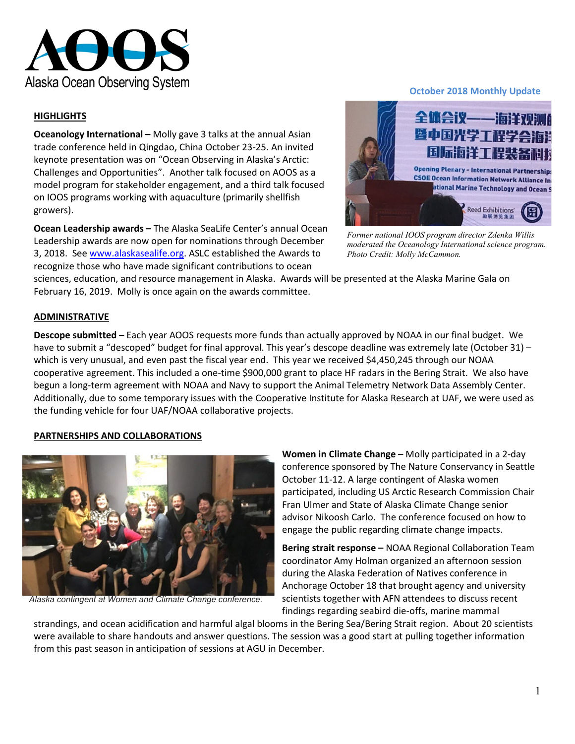

### **HIGHLIGHTS**

**Oceanology International –** Molly gave 3 talks at the annual Asian trade conference held in Qingdao, China October 23-25. An invited keynote presentation was on "Ocean Observing in Alaska's Arctic: Challenges and Opportunities". Another talk focused on AOOS as a model program for stakeholder engagement, and a third talk focused on IOOS programs working with aquaculture (primarily shellfish growers).

**Ocean Leadership awards –** The Alaska SeaLife Center's annual Ocean Leadership awards are now open for nominations through December 3, 2018. See [www.alaskasealife.org.](http://www.alaskasealife.org/) ASLC established the Awards to recognize those who have made significant contributions to ocean

#### **October 2018 Monthly Update**



*Former national IOOS program director Zdenka Willis moderated the Oceanology International science program. Photo Credit: Molly McCammon.*

sciences, education, and resource management in Alaska. Awards will be presented at the Alaska Marine Gala on February 16, 2019. Molly is once again on the awards committee.

#### **ADMINISTRATIVE**

**Descope submitted –** Each year AOOS requests more funds than actually approved by NOAA in our final budget. We have to submit a "descoped" budget for final approval. This year's descope deadline was extremely late (October 31) – which is very unusual, and even past the fiscal year end. This year we received \$4,450,245 through our NOAA cooperative agreement. This included a one-time \$900,000 grant to place HF radars in the Bering Strait. We also have begun a long-term agreement with NOAA and Navy to support the Animal Telemetry Network Data Assembly Center. Additionally, due to some temporary issues with the Cooperative Institute for Alaska Research at UAF, we were used as the funding vehicle for four UAF/NOAA collaborative projects.

#### **PARTNERSHIPS AND COLLABORATIONS**



*Alaska contingent at Women and Climate Change conference.*

**Women in Climate Change** – Molly participated in a 2-day conference sponsored by The Nature Conservancy in Seattle October 11-12. A large contingent of Alaska women participated, including US Arctic Research Commission Chair Fran Ulmer and State of Alaska Climate Change senior advisor Nikoosh Carlo. The conference focused on how to engage the public regarding climate change impacts.

**Bering strait response –** NOAA Regional Collaboration Team coordinator Amy Holman organized an afternoon session during the Alaska Federation of Natives conference in Anchorage October 18 that brought agency and university scientists together with AFN attendees to discuss recent findings regarding seabird die-offs, marine mammal

strandings, and ocean acidification and harmful algal blooms in the Bering Sea/Bering Strait region. About 20 scientists were available to share handouts and answer questions. The session was a good start at pulling together information from this past season in anticipation of sessions at AGU in December.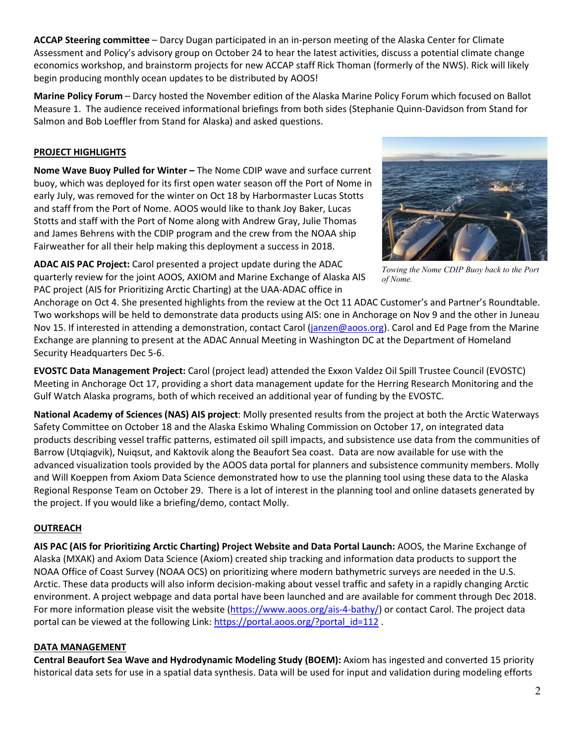**ACCAP Steering committee** – Darcy Dugan participated in an in-person meeting of the Alaska Center for Climate Assessment and Policy's advisory group on October 24 to hear the latest activities, discuss a potential climate change economics workshop, and brainstorm projects for new ACCAP staff Rick Thoman (formerly of the NWS). Rick will likely begin producing monthly ocean updates to be distributed by AOOS!

**Marine Policy Forum** – Darcy hosted the November edition of the Alaska Marine Policy Forum which focused on Ballot Measure 1. The audience received informational briefings from both sides (Stephanie Quinn-Davidson from Stand for Salmon and Bob Loeffler from Stand for Alaska) and asked questions.

# **PROJECT HIGHLIGHTS**

**Nome Wave Buoy Pulled for Winter –** The Nome CDIP wave and surface current buoy, which was deployed for its first open water season off the Port of Nome in early July, was removed for the winter on Oct 18 by Harbormaster Lucas Stotts and staff from the Port of Nome. AOOS would like to thank Joy Baker, Lucas Stotts and staff with the Port of Nome along with Andrew Gray, Julie Thomas and James Behrens with the CDIP program and the crew from the NOAA ship Fairweather for all their help making this deployment a success in 2018.

**ADAC AIS PAC Project:** Carol presented a project update during the ADAC quarterly review for the joint AOOS, AXIOM and Marine Exchange of Alaska AIS PAC project (AIS for Prioritizing Arctic Charting) at the UAA-ADAC office in

Anchorage on Oct 4. She presented highlights from the review at the Oct 11 ADAC Customer's and Partner's Roundtable. Two workshops will be held to demonstrate data products using AIS: one in Anchorage on Nov 9 and the other in Juneau Nov 15. If interested in attending a demonstration, contact Carol [\(janzen@aoos.org\)](mailto:janzen@aoos.org). Carol and Ed Page from the Marine Exchange are planning to present at the ADAC Annual Meeting in Washington DC at the Department of Homeland Security Headquarters Dec 5-6.

**EVOSTC Data Management Project:** Carol (project lead) attended the Exxon Valdez Oil Spill Trustee Council (EVOSTC) Meeting in Anchorage Oct 17, providing a short data management update for the Herring Research Monitoring and the Gulf Watch Alaska programs, both of which received an additional year of funding by the EVOSTC.

**National Academy of Sciences (NAS) AIS project**: Molly presented results from the project at both the Arctic Waterways Safety Committee on October 18 and the Alaska Eskimo Whaling Commission on October 17, on integrated data products describing vessel traffic patterns, estimated oil spill impacts, and subsistence use data from the communities of Barrow (Utqiagvik), Nuiqsut, and Kaktovik along the Beaufort Sea coast. Data are now available for use with the advanced visualization tools provided by the AOOS data portal for planners and subsistence community members. Molly and Will Koeppen from Axiom Data Science demonstrated how to use the planning tool using these data to the Alaska Regional Response Team on October 29. There is a lot of interest in the planning tool and online datasets generated by the project. If you would like a briefing/demo, contact Molly.

## **OUTREACH**

**AIS PAC (AIS for Prioritizing Arctic Charting) Project Website and Data Portal Launch:** AOOS, the Marine Exchange of Alaska (MXAK) and Axiom Data Science (Axiom) created ship tracking and information data products to support the NOAA Office of Coast Survey (NOAA OCS) on prioritizing where modern bathymetric surveys are needed in the U.S. Arctic. These data products will also inform decision-making about vessel traffic and safety in a rapidly changing Arctic environment. A project webpage and data portal have been launched and are available for comment through Dec 2018. For more information please visit the website [\(https://www.aoos.org/ais-4-bathy/\)](https://www.aoos.org/ais-4-bathy/) or contact Carol. The project data portal can be viewed at the following Link: [https://portal.aoos.org/?portal\\_id=112](https://portal.aoos.org/?portal_id=112).

## **DATA MANAGEMENT**

**Central Beaufort Sea Wave and Hydrodynamic Modeling Study (BOEM):** Axiom has ingested and converted 15 priority historical data sets for use in a spatial data synthesis. Data will be used for input and validation during modeling efforts

*Towing the Nome CDIP Buoy back to the Port of Nome.*